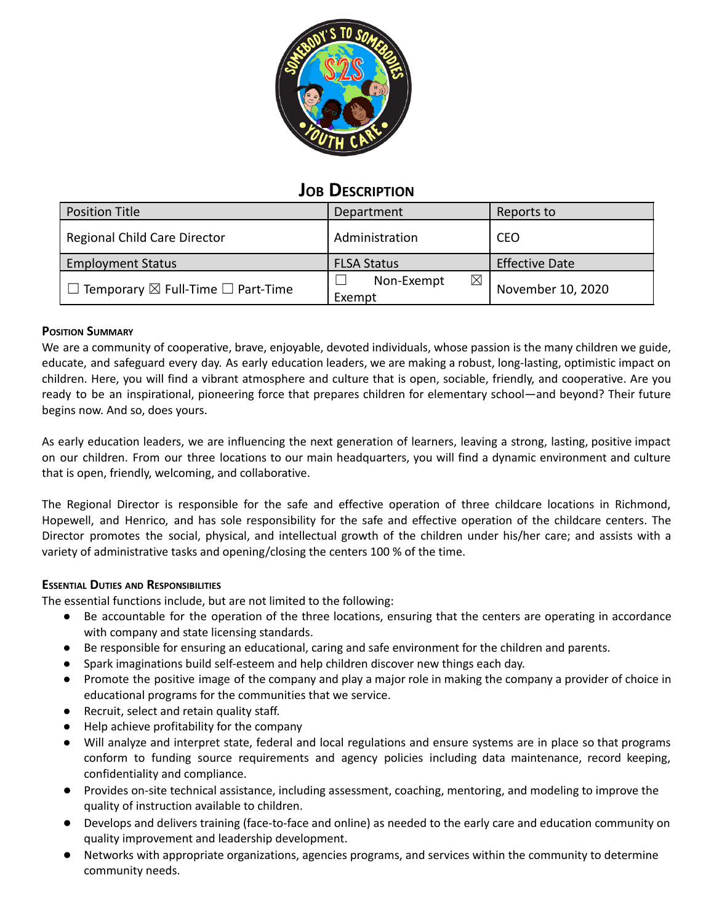

# **JOB DESCRIPTION**

| <b>Position Title</b>                              | Department                          | Reports to            |
|----------------------------------------------------|-------------------------------------|-----------------------|
| Regional Child Care Director                       | Administration                      | <b>CEO</b>            |
| <b>Employment Status</b>                           | <b>FLSA Status</b>                  | <b>Effective Date</b> |
| I Temporary $\boxtimes$ Full-Time $\Box$ Part-Time | $\boxtimes$<br>Non-Exempt<br>Exempt | November 10, 2020     |

### **POSITION SUMMARY**

We are a community of cooperative, brave, enjoyable, devoted individuals, whose passion is the many children we guide, educate, and safeguard every day. As early education leaders, we are making a robust, long-lasting, optimistic impact on children. Here, you will find a vibrant atmosphere and culture that is open, sociable, friendly, and cooperative. Are you ready to be an inspirational, pioneering force that prepares children for elementary school—and beyond? Their future begins now. And so, does yours.

As early education leaders, we are influencing the next generation of learners, leaving a strong, lasting, positive impact on our children. From our three locations to our main headquarters, you will find a dynamic environment and culture that is open, friendly, welcoming, and collaborative.

The Regional Director is responsible for the safe and effective operation of three childcare locations in Richmond, Hopewell, and Henrico, and has sole responsibility for the safe and effective operation of the childcare centers. The Director promotes the social, physical, and intellectual growth of the children under his/her care; and assists with a variety of administrative tasks and opening/closing the centers 100 % of the time.

## **ESSENTIAL DUTIES AND RESPONSIBILITIES**

The essential functions include, but are not limited to the following:

- Be accountable for the operation of the three locations, ensuring that the centers are operating in accordance with company and state licensing standards.
- Be responsible for ensuring an educational, caring and safe environment for the children and parents.
- Spark imaginations build self-esteem and help children discover new things each day.
- Promote the positive image of the company and play a major role in making the company a provider of choice in educational programs for the communities that we service.
- Recruit, select and retain quality staff.
- Help achieve profitability for the company
- Will analyze and interpret state, federal and local regulations and ensure systems are in place so that programs conform to funding source requirements and agency policies including data maintenance, record keeping, confidentiality and compliance.
- Provides on-site technical assistance, including assessment, coaching, mentoring, and modeling to improve the quality of instruction available to children.
- Develops and delivers training (face-to-face and online) as needed to the early care and education community on quality improvement and leadership development.
- Networks with appropriate organizations, agencies programs, and services within the community to determine community needs.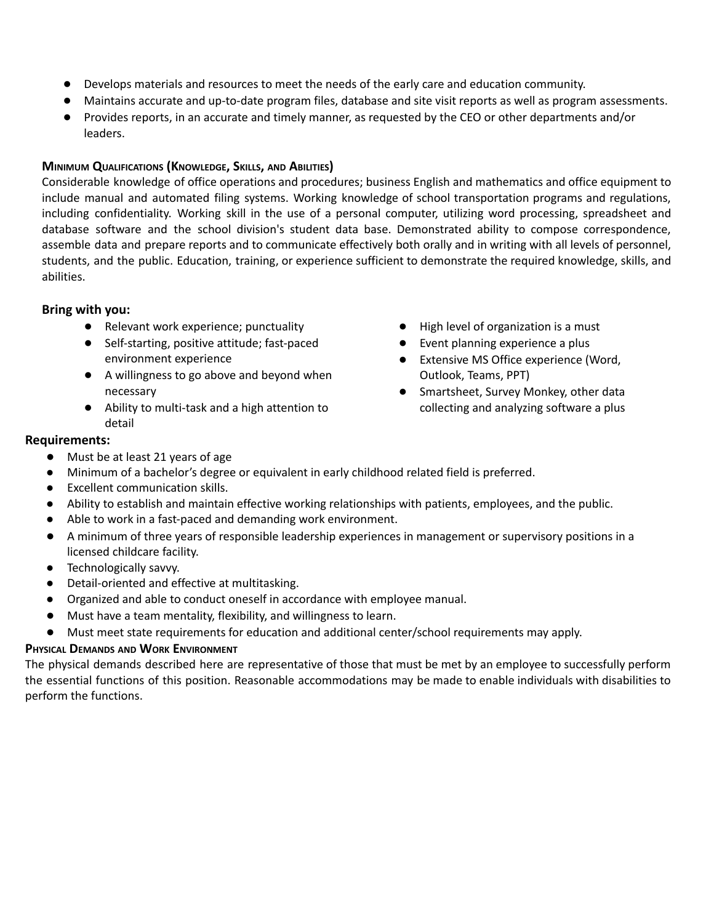- Develops materials and resources to meet the needs of the early care and education community.
- Maintains accurate and up-to-date program files, database and site visit reports as well as program assessments.
- Provides reports, in an accurate and timely manner, as requested by the CEO or other departments and/or leaders.

### **MINIMUM QUALIFICATIONS (KNOWLEDGE, SKILLS, AND ABILITIES)**

Considerable knowledge of office operations and procedures; business English and mathematics and office equipment to include manual and automated filing systems. Working knowledge of school transportation programs and regulations, including confidentiality. Working skill in the use of a personal computer, utilizing word processing, spreadsheet and database software and the school division's student data base. Demonstrated ability to compose correspondence, assemble data and prepare reports and to communicate effectively both orally and in writing with all levels of personnel, students, and the public. Education, training, or experience sufficient to demonstrate the required knowledge, skills, and abilities.

### **Bring with you:**

- Relevant work experience; punctuality
- Self-starting, positive attitude; fast-paced environment experience
- A willingness to go above and beyond when necessary
- Ability to multi-task and a high attention to detail

### **Requirements:**

- Must be at least 21 years of age
- Minimum of a bachelor's degree or equivalent in early childhood related field is preferred.
- Excellent communication skills.
- Ability to establish and maintain effective working relationships with patients, employees, and the public.
- Able to work in a fast-paced and demanding work environment.
- A minimum of three years of responsible leadership experiences in management or supervisory positions in a licensed childcare facility.
- **•** Technologically savvy.
- Detail-oriented and effective at multitasking.
- Organized and able to conduct oneself in accordance with employee manual.
- Must have a team mentality, flexibility, and willingness to learn.
- Must meet state requirements for education and additional center/school requirements may apply.

## **PHYSICAL DEMANDS AND WORK ENVIRONMENT**

The physical demands described here are representative of those that must be met by an employee to successfully perform the essential functions of this position. Reasonable accommodations may be made to enable individuals with disabilities to perform the functions.

- High level of organization is a must
- Event planning experience a plus
- Extensive MS Office experience (Word, Outlook, Teams, PPT)
- Smartsheet, Survey Monkey, other data collecting and analyzing software a plus